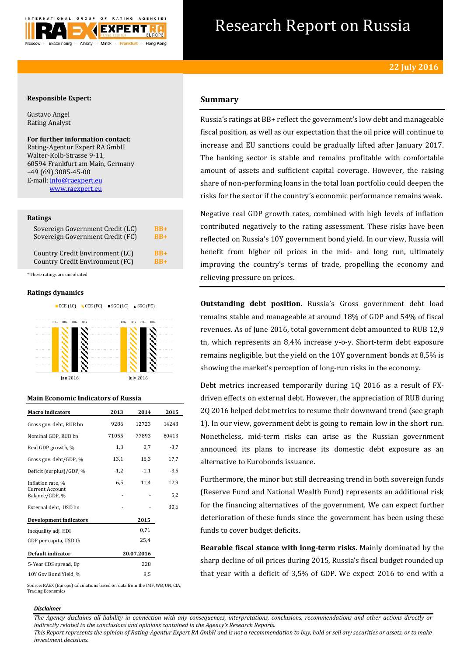

# Research Report on Russia

# **Responsible Expert:**

Gustavo Angel Rating Analyst

## **For further information contact:** Rating-Agentur Expert RA GmbH

Walter-Kolb-Strasse 9-11, 60594 Frankfurt am Main, Germany +49 (69) 3085-45-00 E-mail[: info@raexpert.eu](mailto:info@raexpert.eu) [www.raexpert.eu](http://raexpert.eu/)

## **Ratings**

| Sovereign Government Credit (LC) | $BB+$ |
|----------------------------------|-------|
| Sovereign Government Credit (FC) | $RB+$ |
| Country Credit Environment (LC)  | $RB+$ |
| Country Credit Environment (FC)  | $RR+$ |

\* These ratings are unsolicited

## **Ratings dynamics**



# **Main Economic Indicators of Russia**

| <b>Macro indicators</b>           | 2013   | 2014       | 2015   |
|-----------------------------------|--------|------------|--------|
| Gross gov. debt, RUB bn           | 9286   | 12723      | 14243  |
| Nominal GDP, RUB bn               | 71055  | 77893      | 80413  |
| Real GDP growth, %                | 1,3    | 0,7        | $-3,7$ |
| Gross gov. debt/GDP, %            | 13,1   | 16,3       | 17,7   |
| Deficit (surplus)/GDP, %          | $-1,2$ | $-1,1$     | $-3,5$ |
| Inflation rate, %                 | 6,5    | 11,4       | 12,9   |
| Current Account<br>Balance/GDP, % |        |            | 5,2    |
| External debt, USD bn             |        |            | 30,6   |
| <b>Development indicators</b>     |        | 2015       |        |
| Inequality adj. HDI               |        | 0,71       |        |
| GDP per capita, USD th            |        | 25,4       |        |
| Default indicator                 |        | 20.07.2016 |        |
| 5-Year CDS spread, Bp             |        | 228        |        |
| 10Y Gov Bond Yield, %             |        | 8,5        |        |

Source: RAEX (Europe) calculations based on data from the IMF, WB, UN, CIA, Trading Economics

#### *Disclaimer*

*The Agency disclaims all liability in connection with any consequences, interpretations, conclusions, recommendations and other actions directly or indirectly related to the conclusions and opinions contained in the Agency's Research Reports.*

*This Report represents the opinion of Rating-Agentur Expert RA GmbH and is not a recommendation to buy, hold or sell any securities or assets, or to make investment decisions.*

# **Summary**

Russia's ratings at BB+ reflect the government's low debt and manageable fiscal position, as well as our expectation that the oil price will continue to increase and EU sanctions could be gradually lifted after January 2017. The banking sector is stable and remains profitable with comfortable amount of assets and sufficient capital coverage. However, the raising share of non-performing loans in the total loan portfolio could deepen the risks for the sector if the country's economic performance remains weak.

Negative real GDP growth rates, combined with high levels of inflation contributed negatively to the rating assessment. These risks have been reflected on Russia's 10Y government bond yield. In our view, Russia will benefit from higher oil prices in the mid- and long run, ultimately improving the country's terms of trade, propelling the economy and relieving pressure on prices.

**Outstanding debt position.** Russia's Gross government debt load remains stable and manageable at around 18% of GDP and 54% of fiscal revenues. As of June 2016, total government debt amounted to RUB 12,9 tn, which represents an 8,4% increase y-o-y. Short-term debt exposure remains negligible, but the yield on the 10Y government bonds at 8,5% is showing the market's perception of long-run risks in the economy.

Debt metrics increased temporarily during 1Q 2016 as a result of FXdriven effects on external debt. However, the appreciation of RUB during 2Q 2016 helped debt metrics to resume their downward trend (see graph 1). In our view, government debt is going to remain low in the short run. Nonetheless, mid-term risks can arise as the Russian government announced its plans to increase its domestic debt exposure as an alternative to Eurobonds issuance.

Furthermore, the minor but still decreasing trend in both sovereign funds (Reserve Fund and National Wealth Fund) represents an additional risk for the financing alternatives of the government. We can expect further deterioration of these funds since the government has been using these funds to cover budget deficits.

**Bearable fiscal stance with long-term risks.** Mainly dominated by the sharp decline of oil prices during 2015, Russia's fiscal budget rounded up that year with a deficit of 3,5% of GDP. We expect 2016 to end with a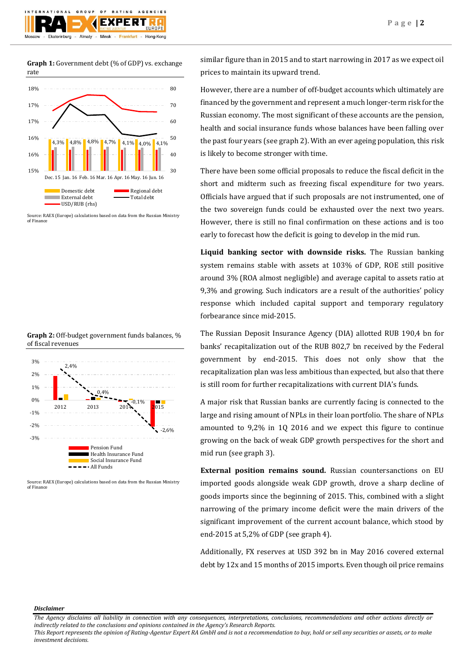

**Graph 1:** Government debt (% of GDP) vs. exchange rate



Source: RAEX (Europe) calculations based on data from the Russian Ministry of Finance





Source: RAEX (Europe) calculations based on data from the Russian Ministry of Finance

similar figure than in 2015 and to start narrowing in 2017 as we expect oil prices to maintain its upward trend.

However, there are a number of off-budget accounts which ultimately are financed by the government and represent a much longer-term risk for the Russian economy. The most significant of these accounts are the pension, health and social insurance funds whose balances have been falling over the past four years (see graph 2). With an ever ageing population, this risk is likely to become stronger with time.

There have been some official proposals to reduce the fiscal deficit in the short and midterm such as freezing fiscal expenditure for two years. Officials have argued that if such proposals are not instrumented, one of the two sovereign funds could be exhausted over the next two years. However, there is still no final confirmation on these actions and is too early to forecast how the deficit is going to develop in the mid run.

**Liquid banking sector with downside risks.** The Russian banking system remains stable with assets at 103% of GDP, ROE still positive around 3% (ROA almost negligible) and average capital to assets ratio at 9,3% and growing. Such indicators are a result of the authorities' policy response which included capital support and temporary regulatory forbearance since mid-2015.

The Russian Deposit Insurance Agency (DIA) allotted RUB 190,4 bn for banks' recapitalization out of the RUB 802,7 bn received by the Federal government by end-2015. This does not only show that the recapitalization plan was less ambitious than expected, but also that there is still room for further recapitalizations with current DIA's funds.

A major risk that Russian banks are currently facing is connected to the large and rising amount of NPLs in their loan portfolio. The share of NPLs amounted to 9,2% in 1Q 2016 and we expect this figure to continue growing on the back of weak GDP growth perspectives for the short and mid run (see graph 3).

**External position remains sound.** Russian countersanctions on EU imported goods alongside weak GDP growth, drove a sharp decline of goods imports since the beginning of 2015. This, combined with a slight narrowing of the primary income deficit were the main drivers of the significant improvement of the current account balance, which stood by end-2015 at 5,2% of GDP (see graph 4).

Additionally, FX reserves at USD 392 bn in May 2016 covered external debt by 12x and 15 months of 2015 imports. Even though oil price remains

*Disclaimer* 

*This Report represents the opinion of Rating-Agentur Expert RA GmbH and is not a recommendation to buy, hold or sell any securities or assets, or to make investment decisions.*

*The Agency disclaims all liability in connection with any consequences, interpretations, conclusions, recommendations and other actions directly or indirectly related to the conclusions and opinions contained in the Agency's Research Reports.*